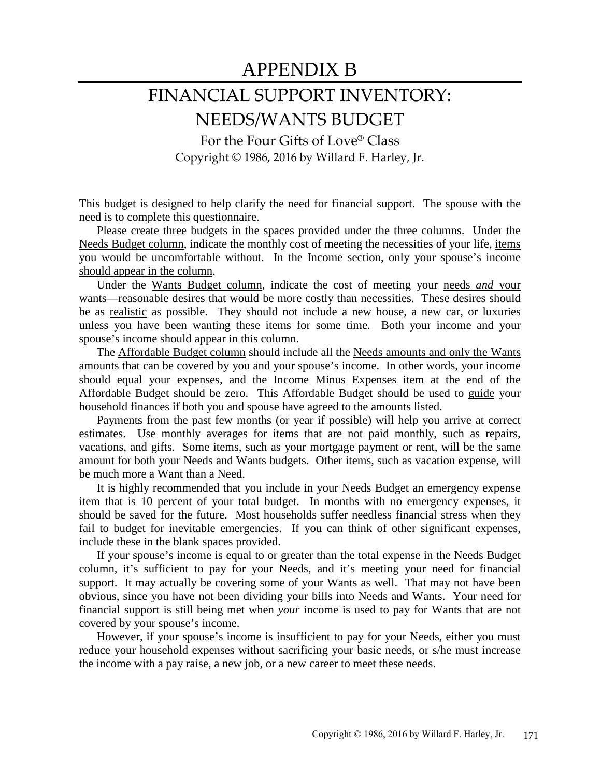## APPENDIX B

# FINANCIAL SUPPORT INVENTORY: NEEDS/WANTS BUDGET

For the Four Gifts of Love® Class Copyright © 1986, 2016 by Willard F. Harley, Jr.

This budget is designed to help clarify the need for financial support. The spouse with the need is to complete this questionnaire.

Please create three budgets in the spaces provided under the three columns. Under the Needs Budget column, indicate the monthly cost of meeting the necessities of your life, items you would be uncomfortable without. In the Income section, only your spouse's income should appear in the column.

Under the Wants Budget column, indicate the cost of meeting your needs *and* your wants—reasonable desires that would be more costly than necessities. These desires should be as realistic as possible. They should not include a new house, a new car, or luxuries unless you have been wanting these items for some time. Both your income and your spouse's income should appear in this column.

The Affordable Budget column should include all the Needs amounts and only the Wants amounts that can be covered by you and your spouse's income. In other words, your income should equal your expenses, and the Income Minus Expenses item at the end of the Affordable Budget should be zero. This Affordable Budget should be used to guide your household finances if both you and spouse have agreed to the amounts listed.

Payments from the past few months (or year if possible) will help you arrive at correct estimates. Use monthly averages for items that are not paid monthly, such as repairs, vacations, and gifts. Some items, such as your mortgage payment or rent, will be the same amount for both your Needs and Wants budgets. Other items, such as vacation expense, will be much more a Want than a Need.

It is highly recommended that you include in your Needs Budget an emergency expense item that is 10 percent of your total budget. In months with no emergency expenses, it should be saved for the future. Most households suffer needless financial stress when they fail to budget for inevitable emergencies. If you can think of other significant expenses, include these in the blank spaces provided.

If your spouse's income is equal to or greater than the total expense in the Needs Budget column, it's sufficient to pay for your Needs, and it's meeting your need for financial support. It may actually be covering some of your Wants as well. That may not have been obvious, since you have not been dividing your bills into Needs and Wants. Your need for financial support is still being met when *your* income is used to pay for Wants that are not covered by your spouse's income.

However, if your spouse's income is insufficient to pay for your Needs, either you must reduce your household expenses without sacrificing your basic needs, or s/he must increase the income with a pay raise, a new job, or a new career to meet these needs.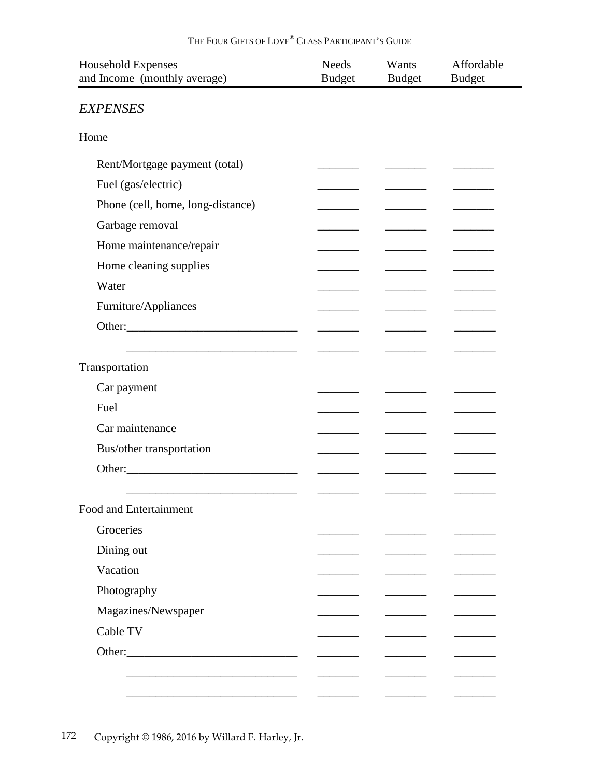### THE FOUR GIFTS OF LOVE® CLASS PARTICIPANT'S GUIDE

| <b>Household Expenses</b><br>and Income (monthly average) | <b>Needs</b><br><b>Budget</b> | Wants<br><b>Budget</b> | Affordable<br><b>Budget</b> |
|-----------------------------------------------------------|-------------------------------|------------------------|-----------------------------|
| <b>EXPENSES</b>                                           |                               |                        |                             |
| Home                                                      |                               |                        |                             |
| Rent/Mortgage payment (total)                             |                               |                        |                             |
| Fuel (gas/electric)                                       |                               |                        |                             |
| Phone (cell, home, long-distance)                         |                               |                        |                             |
| Garbage removal                                           |                               |                        |                             |
| Home maintenance/repair                                   |                               |                        |                             |
| Home cleaning supplies                                    |                               |                        |                             |
| Water                                                     |                               |                        |                             |
| Furniture/Appliances                                      |                               |                        |                             |
|                                                           |                               |                        |                             |
|                                                           |                               |                        |                             |
| Transportation                                            |                               |                        |                             |
| Car payment                                               |                               |                        |                             |
| Fuel                                                      |                               |                        |                             |
| Car maintenance                                           |                               |                        |                             |
| Bus/other transportation                                  |                               |                        |                             |
|                                                           |                               |                        |                             |
|                                                           |                               |                        |                             |
| Food and Entertainment                                    |                               |                        |                             |
| Groceries                                                 |                               |                        |                             |
| Dining out                                                |                               |                        |                             |
| Vacation                                                  |                               |                        |                             |
| Photography                                               |                               |                        |                             |
| Magazines/Newspaper                                       |                               |                        |                             |
| Cable TV                                                  |                               |                        |                             |
|                                                           |                               |                        |                             |
|                                                           |                               |                        |                             |
|                                                           |                               |                        |                             |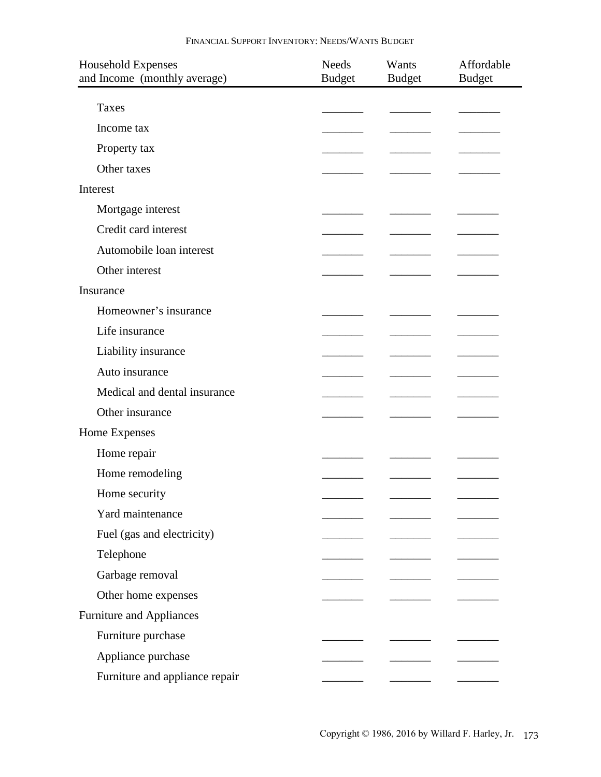| <b>Household Expenses</b><br>and Income (monthly average) | <b>Needs</b><br><b>Budget</b> | Wants<br><b>Budget</b> | Affordable<br><b>Budget</b> |
|-----------------------------------------------------------|-------------------------------|------------------------|-----------------------------|
| Taxes                                                     |                               |                        |                             |
| Income tax                                                |                               |                        |                             |
| Property tax                                              |                               |                        |                             |
| Other taxes                                               |                               |                        |                             |
| Interest                                                  |                               |                        |                             |
| Mortgage interest                                         |                               |                        |                             |
| Credit card interest                                      |                               |                        |                             |
| Automobile loan interest                                  |                               |                        |                             |
| Other interest                                            |                               |                        |                             |
| Insurance                                                 |                               |                        |                             |
| Homeowner's insurance                                     |                               |                        |                             |
| Life insurance                                            |                               |                        |                             |
| Liability insurance                                       |                               |                        |                             |
| Auto insurance                                            |                               |                        |                             |
| Medical and dental insurance                              |                               |                        |                             |
|                                                           |                               |                        |                             |
| Other insurance                                           |                               |                        |                             |
| Home Expenses                                             |                               |                        |                             |
| Home repair                                               |                               |                        |                             |
| Home remodeling                                           |                               |                        |                             |
| Home security                                             |                               |                        |                             |
| Yard maintenance                                          |                               |                        |                             |
| Fuel (gas and electricity)                                |                               |                        |                             |
| Telephone                                                 |                               |                        |                             |
| Garbage removal                                           |                               |                        |                             |
| Other home expenses                                       |                               |                        |                             |
| Furniture and Appliances                                  |                               |                        |                             |
| Furniture purchase                                        |                               |                        |                             |
| Appliance purchase                                        |                               |                        |                             |
| Furniture and appliance repair                            |                               |                        |                             |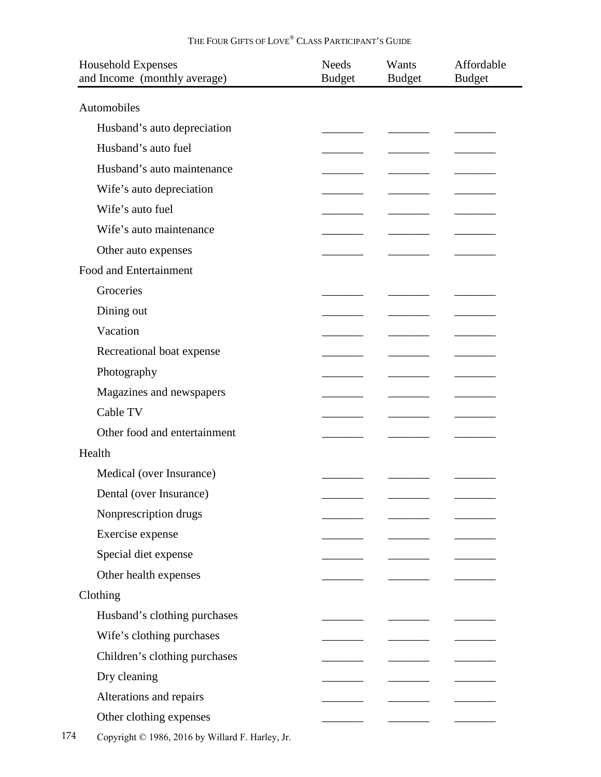#### THE FOUR GIFTS OF LOVE® CLASS PARTICIPANT'S GUIDE

| <b>Household Expenses</b><br>and Income (monthly average) | <b>Needs</b><br><b>Budget</b> | Wants<br><b>Budget</b> | Affordable<br><b>Budget</b> |
|-----------------------------------------------------------|-------------------------------|------------------------|-----------------------------|
|                                                           |                               |                        |                             |
| Automobiles                                               |                               |                        |                             |
| Husband's auto depreciation                               |                               |                        |                             |
| Husband's auto fuel                                       |                               |                        |                             |
| Husband's auto maintenance                                |                               |                        |                             |
| Wife's auto depreciation                                  |                               |                        |                             |
| Wife's auto fuel                                          |                               |                        |                             |
| Wife's auto maintenance                                   |                               |                        |                             |
| Other auto expenses                                       |                               |                        |                             |
| Food and Entertainment                                    |                               |                        |                             |
| Groceries                                                 |                               |                        |                             |
| Dining out                                                |                               |                        |                             |
| Vacation                                                  |                               |                        |                             |
| Recreational boat expense                                 |                               |                        |                             |
| Photography                                               |                               |                        |                             |
| Magazines and newspapers                                  |                               |                        |                             |
| Cable TV                                                  |                               |                        |                             |
| Other food and entertainment                              |                               |                        |                             |
| Health                                                    |                               |                        |                             |
| Medical (over Insurance)                                  |                               |                        |                             |
| Dental (over Insurance)                                   |                               |                        |                             |
| Nonprescription drugs                                     |                               |                        |                             |
| Exercise expense                                          |                               |                        |                             |
| Special diet expense                                      |                               |                        |                             |
| Other health expenses                                     |                               |                        |                             |
| Clothing                                                  |                               |                        |                             |
| Husband's clothing purchases                              |                               |                        |                             |
| Wife's clothing purchases                                 |                               |                        |                             |
| Children's clothing purchases                             |                               |                        |                             |
| Dry cleaning                                              |                               |                        |                             |
| Alterations and repairs                                   |                               |                        |                             |
|                                                           |                               |                        |                             |
| Other clothing expenses                                   |                               |                        |                             |
| Copyright © 1986, 2016 by Willard F. Harley, Jr.          |                               |                        |                             |

174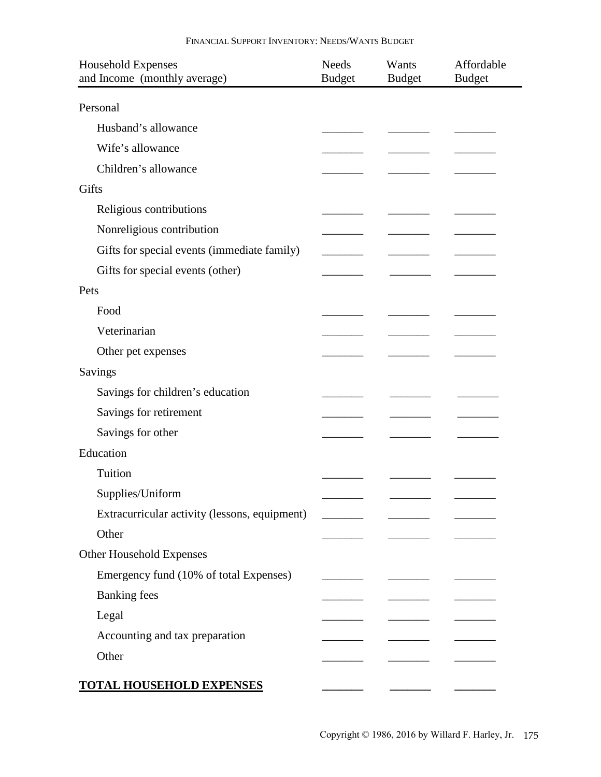| <b>Household Expenses</b><br>and Income (monthly average) | <b>Needs</b><br><b>Budget</b> | Wants<br><b>Budget</b>                         | Affordable<br><b>Budget</b> |
|-----------------------------------------------------------|-------------------------------|------------------------------------------------|-----------------------------|
| Personal                                                  |                               |                                                |                             |
| Husband's allowance                                       |                               |                                                |                             |
| Wife's allowance                                          |                               |                                                |                             |
| Children's allowance                                      |                               |                                                |                             |
| Gifts                                                     |                               |                                                |                             |
| Religious contributions                                   |                               |                                                |                             |
| Nonreligious contribution                                 |                               |                                                |                             |
| Gifts for special events (immediate family)               |                               |                                                |                             |
| Gifts for special events (other)                          |                               |                                                |                             |
| Pets                                                      |                               |                                                |                             |
| Food                                                      |                               |                                                |                             |
| Veterinarian                                              |                               |                                                |                             |
| Other pet expenses                                        |                               |                                                |                             |
| Savings                                                   |                               |                                                |                             |
| Savings for children's education                          |                               |                                                |                             |
| Savings for retirement                                    |                               |                                                |                             |
| Savings for other                                         |                               |                                                |                             |
| Education                                                 |                               |                                                |                             |
| Tuition                                                   |                               |                                                |                             |
| Supplies/Uniform                                          |                               |                                                |                             |
| Extracurricular activity (lessons, equipment)             | $\overline{\phantom{a}}$      | <u> 1989 - Alexandr Alexandr III, prima po</u> |                             |
| Other                                                     |                               |                                                |                             |
| Other Household Expenses                                  |                               |                                                |                             |
| Emergency fund (10% of total Expenses)                    |                               |                                                |                             |
| <b>Banking fees</b>                                       |                               |                                                |                             |
| Legal                                                     |                               |                                                |                             |
| Accounting and tax preparation                            |                               |                                                |                             |
| Other                                                     |                               |                                                |                             |
| <b>TOTAL HOUSEHOLD EXPENSES</b>                           |                               |                                                |                             |